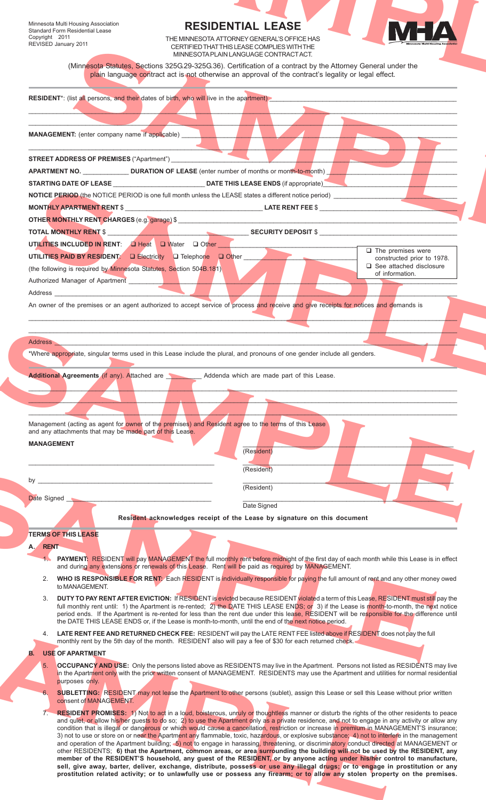# **RESIDENTIAL LEASE**



| Minnesota Multi Housing Association<br><b>Standard Form Residential Lease</b>                                                                                                                                                  | <b>RESIDENTIAL LEASE</b>                                                                                                                                                                                                                                                                          |                                                                 |
|--------------------------------------------------------------------------------------------------------------------------------------------------------------------------------------------------------------------------------|---------------------------------------------------------------------------------------------------------------------------------------------------------------------------------------------------------------------------------------------------------------------------------------------------|-----------------------------------------------------------------|
| Copyright ©2011<br>REVISED January 2011                                                                                                                                                                                        | THE MINNESOTA ATTORNEY GENERAL'S OFFICE HAS<br>CERTIFIED THAT THIS LEASE COMPLIES WITH THE                                                                                                                                                                                                        | N E Z                                                           |
|                                                                                                                                                                                                                                | MINNESOTA PLAIN LANGUAGE CONTRACTACT.<br>(Minnesota Statutes, Sections 325G.29-325G.36). Certification of a contract by the Attorney General under the                                                                                                                                            |                                                                 |
|                                                                                                                                                                                                                                | plain language contract act is not otherwise an approval of the contract's legality or legal effect.                                                                                                                                                                                              |                                                                 |
|                                                                                                                                                                                                                                | RESIDENT*: (list all persons, and their dates of birth, who will live in the apartment)                                                                                                                                                                                                           |                                                                 |
|                                                                                                                                                                                                                                |                                                                                                                                                                                                                                                                                                   |                                                                 |
| <b>MANAGEMENT:</b> (enter company name if applicable)                                                                                                                                                                          |                                                                                                                                                                                                                                                                                                   |                                                                 |
|                                                                                                                                                                                                                                |                                                                                                                                                                                                                                                                                                   |                                                                 |
| <b>STREET ADDRESS OF PREMISES</b> ("Apartment")                                                                                                                                                                                |                                                                                                                                                                                                                                                                                                   |                                                                 |
|                                                                                                                                                                                                                                |                                                                                                                                                                                                                                                                                                   |                                                                 |
|                                                                                                                                                                                                                                | <b>NOTICE PERIOD</b> (the NOTICE PERIOD is one full month unless the LEASE states a different notice period)                                                                                                                                                                                      |                                                                 |
|                                                                                                                                                                                                                                |                                                                                                                                                                                                                                                                                                   |                                                                 |
| <b>TOTAL MONTHLY RENT \$</b>                                                                                                                                                                                                   | <b>SECURITY DEPOSIT \$</b>                                                                                                                                                                                                                                                                        |                                                                 |
| UTILITIES INCLUDED IN RENT: 4 Heat   U Water   O Other                                                                                                                                                                         |                                                                                                                                                                                                                                                                                                   | $\Box$ The premises were                                        |
| UTILITIES PAID BY RESIDENT: La Electricity La Telephone La Other<br>(the following is required by Minnesota Statutes, Section 504B.181)                                                                                        |                                                                                                                                                                                                                                                                                                   | constructed prior to 1978.<br>$\square$ See attached disclosure |
| Authorized Manager of Apartment                                                                                                                                                                                                |                                                                                                                                                                                                                                                                                                   | of information.                                                 |
| Address and the contract of the contract of the contract of the contract of the contract of the contract of the contract of the contract of the contract of the contract of the contract of the contract of the contract of th |                                                                                                                                                                                                                                                                                                   |                                                                 |
|                                                                                                                                                                                                                                | An owner of the premises or an agent authorized to accept service of process and receive and give receipts for notices and demands is                                                                                                                                                             |                                                                 |
|                                                                                                                                                                                                                                |                                                                                                                                                                                                                                                                                                   |                                                                 |
|                                                                                                                                                                                                                                | Address and the contract of the contract of the contract of the contract of the contract of the contract of the contract of the contract of the contract of the contract of the contract of the contract of the contract of th                                                                    |                                                                 |
|                                                                                                                                                                                                                                | *Where appropriate, singular terms used in this Lease include the plural, and pronouns of one gender include all genders.                                                                                                                                                                         |                                                                 |
|                                                                                                                                                                                                                                | Additional Agreements (if any). Attached are <b>Addenda</b> which are made part of this Lease.                                                                                                                                                                                                    |                                                                 |
|                                                                                                                                                                                                                                |                                                                                                                                                                                                                                                                                                   |                                                                 |
|                                                                                                                                                                                                                                |                                                                                                                                                                                                                                                                                                   |                                                                 |
|                                                                                                                                                                                                                                | Management (acting as agent for owner of the premises) and Resident agree to the terms of this Lease                                                                                                                                                                                              |                                                                 |
|                                                                                                                                                                                                                                |                                                                                                                                                                                                                                                                                                   |                                                                 |
|                                                                                                                                                                                                                                |                                                                                                                                                                                                                                                                                                   |                                                                 |
|                                                                                                                                                                                                                                | (Resident)                                                                                                                                                                                                                                                                                        |                                                                 |
|                                                                                                                                                                                                                                | (Resident)                                                                                                                                                                                                                                                                                        |                                                                 |
|                                                                                                                                                                                                                                | (Resident)                                                                                                                                                                                                                                                                                        |                                                                 |
|                                                                                                                                                                                                                                | Date Signed                                                                                                                                                                                                                                                                                       |                                                                 |
|                                                                                                                                                                                                                                | Resident acknowledges receipt of the Lease by signature on this document                                                                                                                                                                                                                          |                                                                 |
|                                                                                                                                                                                                                                |                                                                                                                                                                                                                                                                                                   |                                                                 |
|                                                                                                                                                                                                                                |                                                                                                                                                                                                                                                                                                   |                                                                 |
|                                                                                                                                                                                                                                | PAYMENT: RESIDENT will pay MANAGEMENT the full monthly rent before midnight of the first day of each month while this Lease is in effect<br>and during any extensions or renewals of this Lease. Rent will be paid as required by MANAGEMENT.                                                     |                                                                 |
| 2.                                                                                                                                                                                                                             | WHO IS RESPONSIBLE FOR RENT: Each RESIDENT is individually responsible for paying the full amount of rent and any other money owed                                                                                                                                                                |                                                                 |
| to MANAGEMENT.<br>3.                                                                                                                                                                                                           | DUTY TO PAY RENT AFTER EVICTION: If RESIDENT is evicted because RESIDENT violated a term of this Lease, RESIDENT must still pay the                                                                                                                                                               |                                                                 |
|                                                                                                                                                                                                                                | full monthly rent until: 1) the Apartment is re-rented; 2) the DATE THIS LEASE ENDS; or 3) if the Lease is month-to-month, the next notice<br>period ends. If the Apartment is re-rented for less than the rent due under this lease, RESIDENT will be responsible for the difference until       |                                                                 |
|                                                                                                                                                                                                                                | the DATE THIS LEASE ENDS or, if the Lease is month-to-month, until the end of the next notice period.                                                                                                                                                                                             |                                                                 |
|                                                                                                                                                                                                                                | 4. LATE RENT FEE AND RETURNED CHECK FEE: RESIDENT will pay the LATE RENT FEE listed above if RESIDENT does not pay the full<br>monthly rent by the 5th day of the month. RESIDENT also will pay a fee of \$30 for each returned check.                                                            |                                                                 |
|                                                                                                                                                                                                                                |                                                                                                                                                                                                                                                                                                   |                                                                 |
|                                                                                                                                                                                                                                | <b>OCCUPANCY AND USE:</b> Only the persons listed above as RESIDENTS may live in the Apartment. Persons not listed as RESIDENTS may live<br>in the Apartment only with the prior written consent of MANAGEMENT. RESIDENTS may use the Apartment and utilities for normal residential              |                                                                 |
| purposes only.                                                                                                                                                                                                                 | <b>SUBLETTING:</b> RESIDENT may not lease the Apartment to other persons (sublet), assign this Lease or sell this Lease without prior written                                                                                                                                                     |                                                                 |
| consent of MANAGEMENT.                                                                                                                                                                                                         |                                                                                                                                                                                                                                                                                                   |                                                                 |
|                                                                                                                                                                                                                                | 7. RESIDENT PROMISES: 1) Not to act in a loud, boisterous, unruly or thoughtless manner or disturb the rights of the other residents to peace<br>and quiet, or allow his/her guests to do so; 2) to use the Apartment only as a private residence, and not to engage in any activity or allow any |                                                                 |
|                                                                                                                                                                                                                                | condition that is illegal or dangerous or which would cause a cancellation, restriction or increase in premium in MANAGEMENT'S insurance;<br>3) not to use or store on or near the Apartment any flammable, toxic, hazardous, or explosive substance; 4) not to interfere in the management       |                                                                 |
| and any attachments that may be made part of this Lease.<br><b>MANAGEMENT</b><br>Date Signed<br><b>TERMS OF THIS LEASE</b><br>A. RENT<br><b>B. USE OF APARTMENT</b>                                                            | and operation of the Apartment building; 5) not to engage in harassing, threatening, or discriminatory conduct directed at MANAGEMENT or<br>other RESIDENTS; 6) that the Apartment, common areas, or area surrounding the building will not be used by the RESIDENT, any                          |                                                                 |
|                                                                                                                                                                                                                                | member of the RESIDENT'S household, any guest of the RESIDENT, or by anyone acting under his/her control to manufacture,<br>sell, give away, barter, deliver, exchange, distribute, possess or use any illegal drugs; or to engage in prostitution or any                                         |                                                                 |
|                                                                                                                                                                                                                                | prostitution related activity; or to unlawfully use or possess any firearm; or to allow any stolen property on the premises.                                                                                                                                                                      |                                                                 |